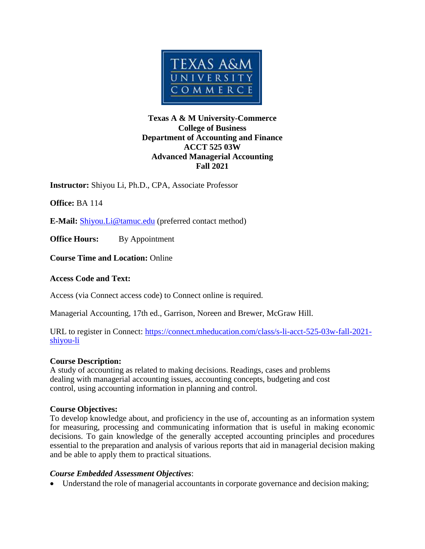

# **Texas A & M University-Commerce College of Business Department of Accounting and Finance ACCT 525 03W Advanced Managerial Accounting Fall 2021**

**Instructor:** Shiyou Li, Ph.D., CPA, Associate Professor

**Office:** BA 114

**E-Mail:** [Shiyou.Li@tamuc.edu](mailto:Shiyou.Li@tamuc.edu) (preferred contact method)

**Office Hours:** By Appointment

**Course Time and Location:** Online

### **Access Code and Text:**

Access (via Connect access code) to Connect online is required.

Managerial Accounting, 17th ed., Garrison, Noreen and Brewer, McGraw Hill.

URL to register in Connect: [https://connect.mheducation.com/class/s-li-acct-525-03w-fall-2021](https://connect.mheducation.com/class/s-li-acct-525-03w-fall-2021-shiyou-li) [shiyou-li](https://connect.mheducation.com/class/s-li-acct-525-03w-fall-2021-shiyou-li)

### **Course Description:**

A study of accounting as related to making decisions. Readings, cases and problems dealing with managerial accounting issues, accounting concepts, budgeting and cost control, using accounting information in planning and control.

### **Course Objectives:**

To develop knowledge about, and proficiency in the use of, accounting as an information system for measuring, processing and communicating information that is useful in making economic decisions. To gain knowledge of the generally accepted accounting principles and procedures essential to the preparation and analysis of various reports that aid in managerial decision making and be able to apply them to practical situations.

### *Course Embedded Assessment Objectives*:

Understand the role of managerial accountants in corporate governance and decision making;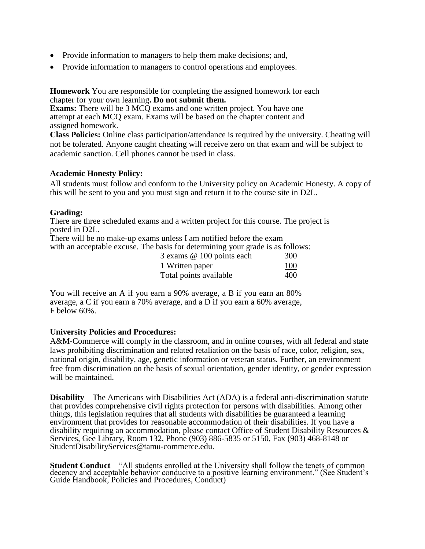- Provide information to managers to help them make decisions; and,
- Provide information to managers to control operations and employees.

**Homework** You are responsible for completing the assigned homework for each chapter for your own learning**. Do not submit them.**

**Exams:** There will be 3 MCQ exams and one written project. You have one attempt at each MCQ exam. Exams will be based on the chapter content and assigned homework.

**Class Policies:** Online class participation/attendance is required by the university. Cheating will not be tolerated. Anyone caught cheating will receive zero on that exam and will be subject to academic sanction. Cell phones cannot be used in class.

#### **Academic Honesty Policy:**

All students must follow and conform to the University policy on Academic Honesty. A copy of this will be sent to you and you must sign and return it to the course site in D2L.

#### **Grading:**

There are three scheduled exams and a written project for this course. The project is posted in D2L.

There will be no make-up exams unless I am notified before the exam with an acceptable excuse. The basis for determining your grade is as follows:

| 3 exams @ 100 points each | 300 |
|---------------------------|-----|
| 1 Written paper           | 100 |
| Total points available    | 400 |

You will receive an A if you earn a 90% average, a B if you earn an 80% average, a C if you earn a 70% average, and a D if you earn a 60% average,  $F$  below 60%.

#### **University Policies and Procedures:**

A&M-Commerce will comply in the classroom, and in online courses, with all federal and state laws prohibiting discrimination and related retaliation on the basis of race, color, religion, sex, national origin, disability, age, genetic information or veteran status. Further, an environment free from discrimination on the basis of sexual orientation, gender identity, or gender expression will be maintained.

**Disability** – The Americans with Disabilities Act (ADA) is a federal anti-discrimination statute that provides comprehensive civil rights protection for persons with disabilities. Among other things, this legislation requires that all students with disabilities be guaranteed a learning environment that provides for reasonable accommodation of their disabilities. If you have a disability requiring an accommodation, please contact Office of Student Disability Resources & Services, Gee Library, Room 132, Phone (903) 886-5835 or 5150, Fax (903) 468-8148 or StudentDisabilityServices@tamu-commerce.edu.

**Student Conduct** – "All students enrolled at the University shall follow the tenets of common decency and acceptable behavior conducive to a positive learning environment." (See Student's Guide Handbook, Policies and Procedures, Conduct)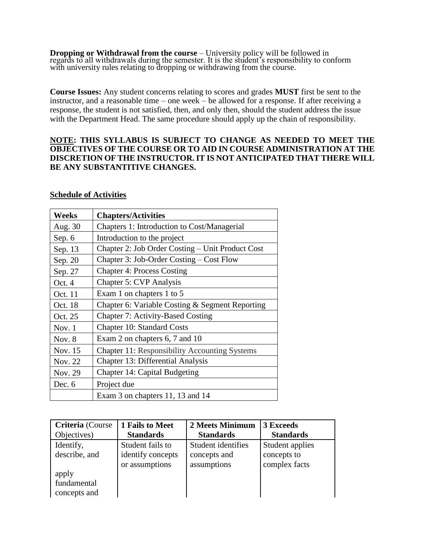**Dropping or Withdrawal from the course** – University policy will be followed in regards to all withdrawals during the semester. It is the student's responsibility to conform with university rules relating to dropping or withdrawing from the course.

**Course Issues:** Any student concerns relating to scores and grades **MUST** first be sent to the instructor, and a reasonable time – one week – be allowed for a response. If after receiving a response, the student is not satisfied, then, and only then, should the student address the issue with the Department Head. The same procedure should apply up the chain of responsibility.

### **NOTE: THIS SYLLABUS IS SUBJECT TO CHANGE AS NEEDED TO MEET THE OBJECTIVES OF THE COURSE OR TO AID IN COURSE ADMINISTRATION AT THE DISCRETION OF THE INSTRUCTOR. IT IS NOT ANTICIPATED THAT THERE WILL BE ANY SUBSTANTITIVE CHANGES.**

#### **Schedule of Activities**

| Weeks    | <b>Chapters/Activities</b>                           |
|----------|------------------------------------------------------|
| Aug. 30  | Chapters 1: Introduction to Cost/Managerial          |
| Sep. 6   | Introduction to the project                          |
| Sep. 13  | Chapter 2: Job Order Costing – Unit Product Cost     |
| Sep. 20  | Chapter 3: Job-Order Costing – Cost Flow             |
| Sep. 27  | <b>Chapter 4: Process Costing</b>                    |
| Oct. 4   | <b>Chapter 5: CVP Analysis</b>                       |
| Oct. 11  | Exam 1 on chapters 1 to 5                            |
| Oct. 18  | Chapter 6: Variable Costing & Segment Reporting      |
| Oct. 25  | <b>Chapter 7: Activity-Based Costing</b>             |
| Nov. $1$ | <b>Chapter 10: Standard Costs</b>                    |
| Nov. $8$ | Exam 2 on chapters 6, 7 and 10                       |
| Nov. 15  | <b>Chapter 11: Responsibility Accounting Systems</b> |
| Nov. 22  | Chapter 13: Differential Analysis                    |
| Nov. 29  | <b>Chapter 14: Capital Budgeting</b>                 |
| Dec. 6   | Project due                                          |
|          | Exam 3 on chapters 11, 13 and 14                     |

| Criteria (Course | 1 Fails to Meet   | 2 Meets Minimum    | 3 Exceeds        |
|------------------|-------------------|--------------------|------------------|
| Objectives)      | <b>Standards</b>  | <b>Standards</b>   | <b>Standards</b> |
| Identify,        | Student fails to  | Student identifies | Student applies  |
| describe, and    | identify concepts | concepts and       | concepts to      |
|                  | or assumptions    | assumptions        | complex facts    |
| apply            |                   |                    |                  |
| fundamental      |                   |                    |                  |
| concepts and     |                   |                    |                  |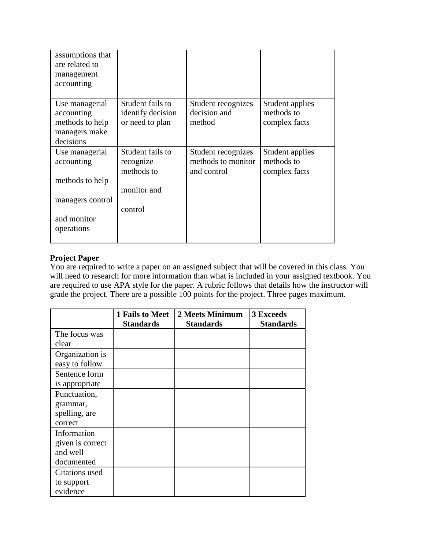| assumptions that<br>are related to<br>management<br>accounting                |                                                          |                                                         |                                                |
|-------------------------------------------------------------------------------|----------------------------------------------------------|---------------------------------------------------------|------------------------------------------------|
| Use managerial<br>accounting<br>methods to help<br>managers make<br>decisions | Student fails to<br>identify decision<br>or need to plan | Student recognizes<br>decision and<br>method            | Student applies<br>methods to<br>complex facts |
| Use managerial<br>accounting<br>methods to help                               | Student fails to<br>recognize<br>methods to              | Student recognizes<br>methods to monitor<br>and control | Student applies<br>methods to<br>complex facts |
| managers control<br>and monitor                                               | monitor and<br>control                                   |                                                         |                                                |
| operations                                                                    |                                                          |                                                         |                                                |

# **Project Paper**

You are required to write a paper on an assigned subject that will be covered in this class. You will need to research for more information than what is included in your assigned textbook. You are required to use APA style for the paper. A rubric follows that details how the instructor will grade the project. There are a possible 100 points for the project. Three pages maximum.

|                  | 1 Fails to Meet<br><b>Standards</b> | 2 Meets Minimum<br><b>Standards</b> | <b>3 Exceeds</b><br><b>Standards</b> |
|------------------|-------------------------------------|-------------------------------------|--------------------------------------|
| The focus was    |                                     |                                     |                                      |
| clear            |                                     |                                     |                                      |
| Organization is  |                                     |                                     |                                      |
| easy to follow   |                                     |                                     |                                      |
| Sentence form    |                                     |                                     |                                      |
| is appropriate   |                                     |                                     |                                      |
| Punctuation,     |                                     |                                     |                                      |
| grammar,         |                                     |                                     |                                      |
| spelling, are    |                                     |                                     |                                      |
| correct          |                                     |                                     |                                      |
| Information      |                                     |                                     |                                      |
| given is correct |                                     |                                     |                                      |
| and well         |                                     |                                     |                                      |
| documented       |                                     |                                     |                                      |
| Citations used   |                                     |                                     |                                      |
| to support       |                                     |                                     |                                      |
| evidence         |                                     |                                     |                                      |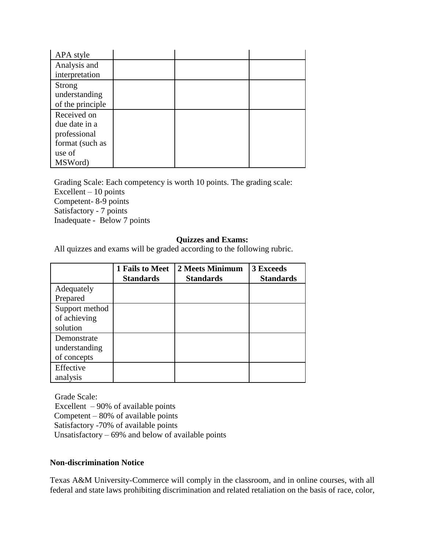| APA style        |  |  |
|------------------|--|--|
| Analysis and     |  |  |
| interpretation   |  |  |
| Strong           |  |  |
| understanding    |  |  |
| of the principle |  |  |
| Received on      |  |  |
| due date in a    |  |  |
| professional     |  |  |
| format (such as  |  |  |
| use of           |  |  |
| MSWord)          |  |  |

Grading Scale: Each competency is worth 10 points. The grading scale: Excellent – 10 points Competent- 8-9 points Satisfactory - 7 points Inadequate - Below 7 points

#### **Quizzes and Exams:**

All quizzes and exams will be graded according to the following rubric.

|                                             | 1 Fails to Meet<br><b>Standards</b> | 2 Meets Minimum<br><b>Standards</b> | 3 Exceeds<br><b>Standards</b> |
|---------------------------------------------|-------------------------------------|-------------------------------------|-------------------------------|
| Adequately<br>Prepared                      |                                     |                                     |                               |
| Support method<br>of achieving<br>solution  |                                     |                                     |                               |
| Demonstrate<br>understanding<br>of concepts |                                     |                                     |                               |
| Effective<br>analysis                       |                                     |                                     |                               |

Grade Scale: Excellent  $-90\%$  of available points Competent – 80% of available points Satisfactory -70% of available points Unsatisfactory  $-69%$  and below of available points

### **Non-discrimination Notice**

Texas A&M University-Commerce will comply in the classroom, and in online courses, with all federal and state laws prohibiting discrimination and related retaliation on the basis of race, color,